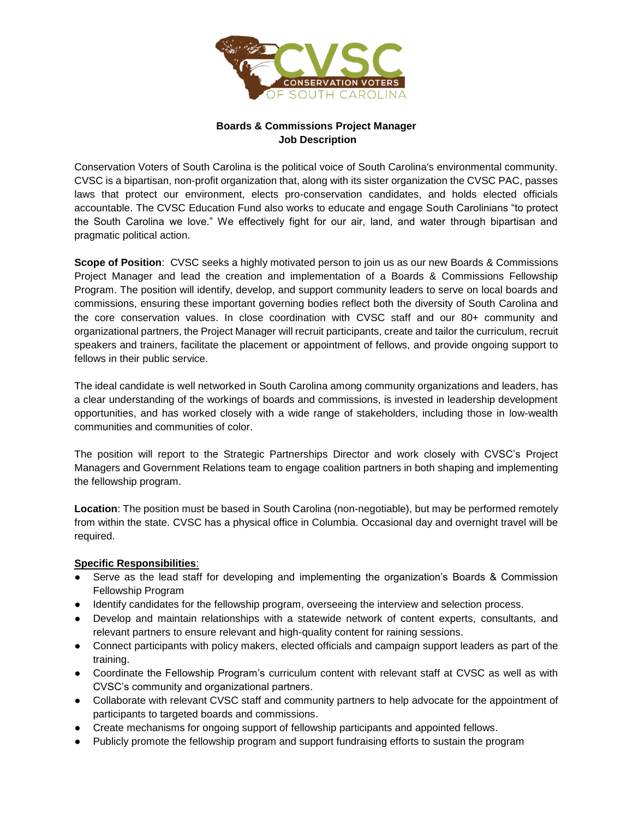

## **Boards & Commissions Project Manager Job Description**

Conservation Voters of South Carolina is the political voice of South Carolina's environmental community. CVSC is a bipartisan, non-profit organization that, along with its sister organization the CVSC PAC, passes laws that protect our environment, elects pro-conservation candidates, and holds elected officials accountable. The CVSC Education Fund also works to educate and engage South Carolinians "to protect the South Carolina we love." We effectively fight for our air, land, and water through bipartisan and pragmatic political action.

**Scope of Position**: CVSC seeks a highly motivated person to join us as our new Boards & Commissions Project Manager and lead the creation and implementation of a Boards & Commissions Fellowship Program. The position will identify, develop, and support community leaders to serve on local boards and commissions, ensuring these important governing bodies reflect both the diversity of South Carolina and the core conservation values. In close coordination with CVSC staff and our 80+ community and organizational partners, the Project Manager will recruit participants, create and tailor the curriculum, recruit speakers and trainers, facilitate the placement or appointment of fellows, and provide ongoing support to fellows in their public service.

The ideal candidate is well networked in South Carolina among community organizations and leaders, has a clear understanding of the workings of boards and commissions, is invested in leadership development opportunities, and has worked closely with a wide range of stakeholders, including those in low-wealth communities and communities of color.

The position will report to the Strategic Partnerships Director and work closely with CVSC's Project Managers and Government Relations team to engage coalition partners in both shaping and implementing the fellowship program.

**Location**: The position must be based in South Carolina (non-negotiable), but may be performed remotely from within the state. CVSC has a physical office in Columbia. Occasional day and overnight travel will be required.

## **Specific Responsibilities**:

- Serve as the lead staff for developing and implementing the organization's Boards & Commission Fellowship Program
- Identify candidates for the fellowship program, overseeing the interview and selection process.
- Develop and maintain relationships with a statewide network of content experts, consultants, and relevant partners to ensure relevant and high-quality content for raining sessions.
- Connect participants with policy makers, elected officials and campaign support leaders as part of the training.
- Coordinate the Fellowship Program's curriculum content with relevant staff at CVSC as well as with CVSC's community and organizational partners.
- Collaborate with relevant CVSC staff and community partners to help advocate for the appointment of participants to targeted boards and commissions.
- Create mechanisms for ongoing support of fellowship participants and appointed fellows.
- Publicly promote the fellowship program and support fundraising efforts to sustain the program